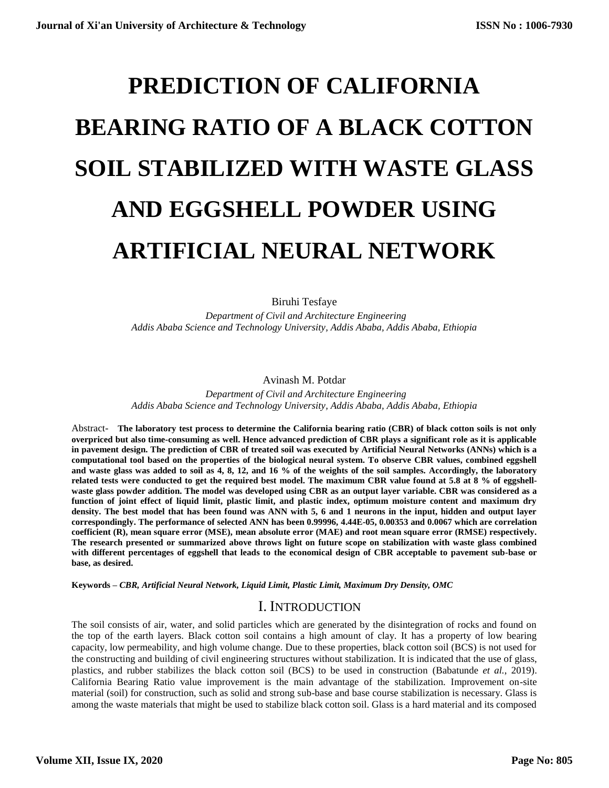# **PREDICTION OF CALIFORNIA BEARING RATIO OF A BLACK COTTON SOIL STABILIZED WITH WASTE GLASS AND EGGSHELL POWDER USING ARTIFICIAL NEURAL NETWORK**

Biruhi Tesfaye

 *Department of Civil and Architecture Engineering Addis Ababa Science and Technology University, Addis Ababa, Addis Ababa, Ethiopia*

Avinash M. Potdar

 *Department of Civil and Architecture Engineering Addis Ababa Science and Technology University, Addis Ababa, Addis Ababa, Ethiopia*

Abstract- **The laboratory test process to determine the California bearing ratio (CBR) of black cotton soils is not only overpriced but also time-consuming as well. Hence advanced prediction of CBR plays a significant role as it is applicable in pavement design. The prediction of CBR of treated soil was executed by Artificial Neural Networks (ANNs) which is a computational tool based on the properties of the biological neural system. To observe CBR values, combined eggshell and waste glass was added to soil as 4, 8, 12, and 16 % of the weights of the soil samples. Accordingly, the laboratory related tests were conducted to get the required best model. The maximum CBR value found at 5.8 at 8 % of eggshellwaste glass powder addition. The model was developed using CBR as an output layer variable. CBR was considered as a function of joint effect of liquid limit, plastic limit, and plastic index, optimum moisture content and maximum dry density. The best model that has been found was ANN with 5, 6 and 1 neurons in the input, hidden and output layer correspondingly. The performance of selected ANN has been 0.99996, 4.44E-05, 0.00353 and 0.0067 which are correlation coefficient (R), mean square error (MSE), mean absolute error (MAE) and root mean square error (RMSE) respectively. The research presented or summarized above throws light on future scope on stabilization with waste glass combined with different percentages of eggshell that leads to the economical design of CBR acceptable to pavement sub-base or base, as desired.**

**Keywords –** *CBR, Artificial Neural Network, Liquid Limit, Plastic Limit, Maximum Dry Density, OMC*

## I. INTRODUCTION

The soil consists of air, water, and solid particles which are generated by the disintegration of rocks and found on the top of the earth layers. Black cotton soil contains a high amount of clay. It has a property of low bearing capacity, low permeability, and high volume change. Due to these properties, black cotton soil (BCS) is not used for the constructing and building of civil engineering structures without stabilization. It is indicated that the use of glass, plastics, and rubber stabilizes the black cotton soil (BCS) to be used in construction (Babatunde *et al.*, 2019). California Bearing Ratio value improvement is the main advantage of the stabilization. Improvement on-site material (soil) for construction, such as solid and strong sub-base and base course stabilization is necessary. Glass is among the waste materials that might be used to stabilize black cotton soil. Glass is a hard material and its composed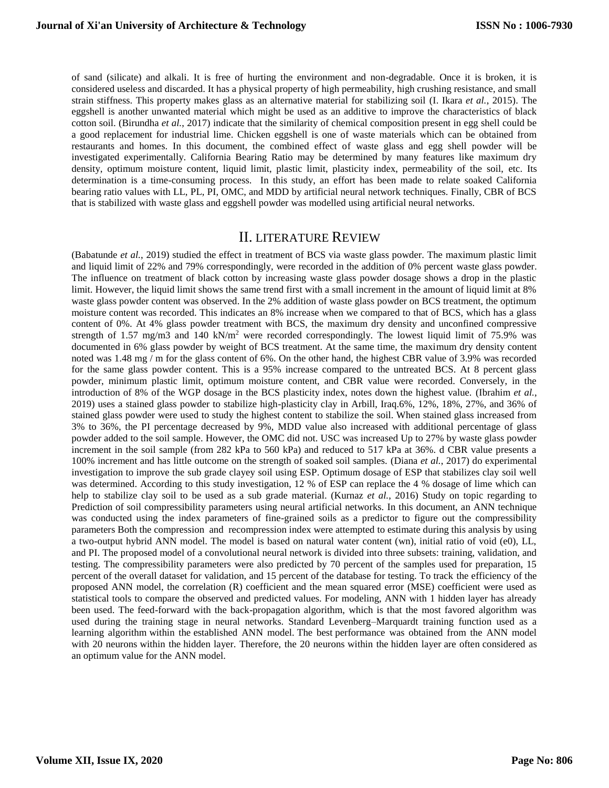of sand (silicate) and alkali. It is free of hurting the environment and non-degradable. Once it is broken, it is considered useless and discarded. It has a physical property of high permeability, high crushing resistance, and small strain stiffness. This property makes glass as an alternative material for stabilizing soil (I. Ikara *et al.*, 2015). The eggshell is another unwanted material which might be used as an additive to improve the characteristics of black cotton soil. (Birundha *et al.*, 2017) indicate that the similarity of chemical composition present in egg shell could be a good replacement for industrial lime. Chicken eggshell is one of waste materials which can be obtained from restaurants and homes. In this document, the combined effect of waste glass and egg shell powder will be investigated experimentally. California Bearing Ratio may be determined by many features like maximum dry density, optimum moisture content, liquid limit, plastic limit, plasticity index, permeability of the soil, etc. Its determination is a time-consuming process. In this study, an effort has been made to relate soaked California bearing ratio values with LL, PL, PI, OMC, and MDD by artificial neural network techniques. Finally, CBR of BCS that is stabilized with waste glass and eggshell powder was modelled using artificial neural networks.

## II. LITERATURE REVIEW

(Babatunde *et al.*, 2019) studied the effect in treatment of BCS via waste glass powder. The maximum plastic limit and liquid limit of 22% and 79% correspondingly, were recorded in the addition of 0% percent waste glass powder. The influence on treatment of black cotton by increasing waste glass powder dosage shows a drop in the plastic limit. However, the liquid limit shows the same trend first with a small increment in the amount of liquid limit at 8% waste glass powder content was observed. In the 2% addition of waste glass powder on BCS treatment, the optimum moisture content was recorded. This indicates an 8% increase when we compared to that of BCS, which has a glass content of 0%. At 4% glass powder treatment with BCS, the maximum dry density and unconfined compressive strength of 1.57 mg/m3 and 140 kN/m<sup>2</sup> were recorded correspondingly. The lowest liquid limit of 75.9% was documented in 6% glass powder by weight of BCS treatment. At the same time, the maximum dry density content noted was 1.48 mg / m for the glass content of 6%. On the other hand, the highest CBR value of 3.9% was recorded for the same glass powder content. This is a 95% increase compared to the untreated BCS. At 8 percent glass powder, minimum plastic limit, optimum moisture content, and CBR value were recorded. Conversely, in the introduction of 8% of the WGP dosage in the BCS plasticity index, notes down the highest value. (Ibrahim *et al.*, 2019) uses a stained glass powder to stabilize high-plasticity clay in Arbill, Iraq.6%, 12%, 18%, 27%, and 36% of stained glass powder were used to study the highest content to stabilize the soil. When stained glass increased from 3% to 36%, the PI percentage decreased by 9%, MDD value also increased with additional percentage of glass powder added to the soil sample. However, the OMC did not. USC was increased Up to 27% by waste glass powder increment in the soil sample (from 282 kPa to 560 kPa) and reduced to 517 kPa at 36%. d CBR value presents a 100% increment and has little outcome on the strength of soaked soil samples. (Diana *et al.*, 2017) do experimental investigation to improve the sub grade clayey soil using ESP. Optimum dosage of ESP that stabilizes clay soil well was determined. According to this study investigation, 12 % of ESP can replace the 4 % dosage of lime which can help to stabilize clay soil to be used as a sub grade material. (Kurnaz *et al.*, 2016) Study on topic regarding to Prediction of soil compressibility parameters using neural artificial networks. In this document, an ANN technique was conducted using the index parameters of fine-grained soils as a predictor to figure out the compressibility parameters Both the compression and recompression index were attempted to estimate during this analysis by using a two-output hybrid ANN model. The model is based on natural water content (wn), initial ratio of void (e0), LL, and PI. The proposed model of a convolutional neural network is divided into three subsets: training, validation, and testing. The compressibility parameters were also predicted by 70 percent of the samples used for preparation, 15 percent of the overall dataset for validation, and 15 percent of the database for testing. To track the efficiency of the proposed ANN model, the correlation (R) coefficient and the mean squared error (MSE) coefficient were used as statistical tools to compare the observed and predicted values. For modeling, ANN with 1 hidden layer has already been used. The feed-forward with the back-propagation algorithm, which is that the most favored algorithm was used during the training stage in neural networks. Standard Levenberg–Marquardt training function used as a learning algorithm within the established ANN model. The best performance was obtained from the ANN model with 20 neurons within the hidden layer. Therefore, the 20 neurons within the hidden layer are often considered as an optimum value for the ANN model.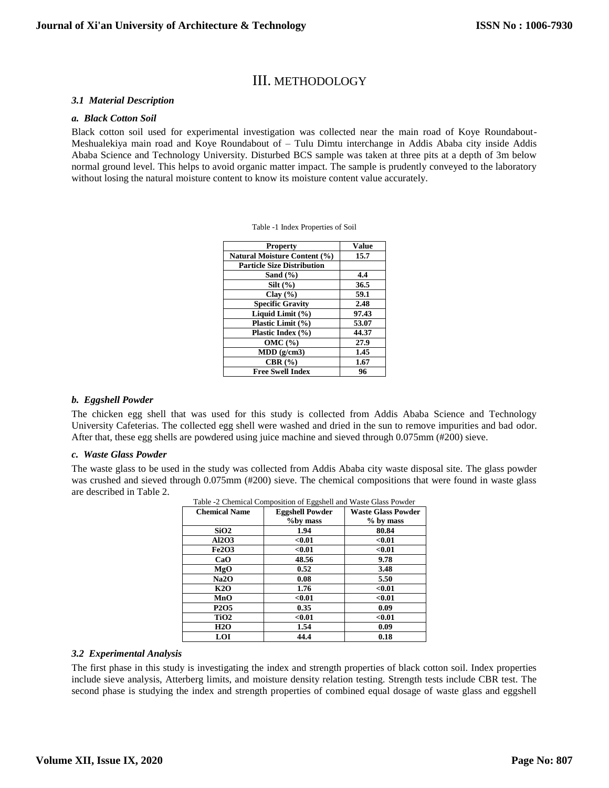## III. METHODOLOGY

#### *3.1 Material Description*

#### *a. Black Cotton Soil*

Black cotton soil used for experimental investigation was collected near the main road of Koye Roundabout-Meshualekiya main road and Koye Roundabout of – Tulu Dimtu interchange in Addis Ababa city inside Addis Ababa Science and Technology University. Disturbed BCS sample was taken at three pits at a depth of 3m below normal ground level. This helps to avoid organic matter impact. The sample is prudently conveyed to the laboratory without losing the natural moisture content to know its moisture content value accurately.

| <b>Property</b>                     | Value |
|-------------------------------------|-------|
| <b>Natural Moisture Content (%)</b> | 15.7  |
| <b>Particle Size Distribution</b>   |       |
| Sand $(\% )$                        | 4.4   |
| $Silt (\%)$                         | 36.5  |
| Clay $(\% )$                        | 59.1  |
| <b>Specific Gravity</b>             | 2.48  |
| Liquid Limit (%)                    | 97.43 |
| Plastic Limit (%)                   | 53.07 |
| Plastic Index (%)                   | 44.37 |
| $OMC($ % $)$                        | 27.9  |
| $MDD$ (g/cm3)                       | 1.45  |
| CBR $(%)$                           | 1.67  |
| <b>Free Swell Index</b>             | 96    |

Table -1 Index Properties of Soil

#### *b. Eggshell Powder*

The chicken egg shell that was used for this study is collected from Addis Ababa Science and Technology University Cafeterias. The collected egg shell were washed and dried in the sun to remove impurities and bad odor. After that, these egg shells are powdered using juice machine and sieved through 0.075mm (#200) sieve.

#### *c. Waste Glass Powder*

The waste glass to be used in the study was collected from Addis Ababa city waste disposal site. The glass powder was crushed and sieved through 0.075mm (#200) sieve. The chemical compositions that were found in waste glass are described in Table 2.

| <b>Chemical Name</b>          | Table -2 Chemical Composition of Eggshell and Waste Glass Powder<br><b>Eggshell Powder</b> | <b>Waste Glass Powder</b> |
|-------------------------------|--------------------------------------------------------------------------------------------|---------------------------|
|                               | %by mass                                                                                   | $%$ by mass               |
| SiO2                          | 1.94                                                                                       | 80.84                     |
| Al2O3                         | < 0.01                                                                                     | < 0.01                    |
| <b>Fe2O3</b>                  | < 0.01                                                                                     | < 0.01                    |
| CaO                           | 48.56                                                                                      | 9.78                      |
| MgO                           | 0.52                                                                                       | 3.48                      |
| Na2O                          | 0.08                                                                                       | 5.50                      |
| <b>K2O</b>                    | 1.76                                                                                       | < 0.01                    |
| MnO                           | < 0.01                                                                                     | < 0.01                    |
| P <sub>2</sub> O <sub>5</sub> | 0.35                                                                                       | 0.09                      |
| TiO <sub>2</sub>              | < 0.01                                                                                     | < 0.01                    |
| <b>H2O</b>                    | 1.54                                                                                       | 0.09                      |
| LOI                           | 44.4                                                                                       | 0.18                      |

Table -2 Chemical Composition of Eggshell and Waste Glass Powder

#### *3.2 Experimental Analysis*

The first phase in this study is investigating the index and strength properties of black cotton soil. Index properties include sieve analysis, Atterberg limits, and moisture density relation testing. Strength tests include CBR test. The second phase is studying the index and strength properties of combined equal dosage of waste glass and eggshell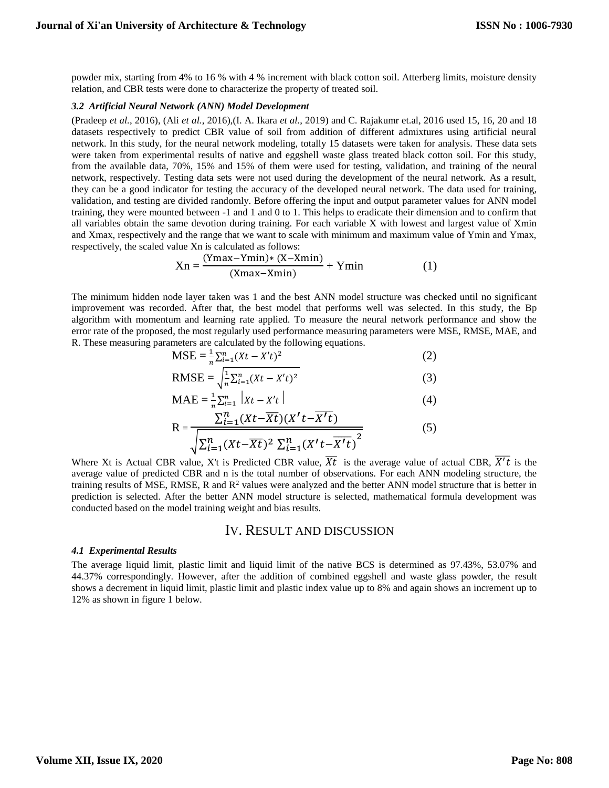powder mix, starting from 4% to 16 % with 4 % increment with black cotton soil. Atterberg limits, moisture density relation, and CBR tests were done to characterize the property of treated soil.

#### *3.2 Artificial Neural Network (ANN) Model Development*

(Pradeep *et al.*, 2016), (Ali *et al.*, 2016),(I. A. Ikara *et al.*, 2019) and C. Rajakumr et.al, 2016 used 15, 16, 20 and 18 datasets respectively to predict CBR value of soil from addition of different admixtures using artificial neural network. In this study, for the neural network modeling, totally 15 datasets were taken for analysis. These data sets were taken from experimental results of native and eggshell waste glass treated black cotton soil. For this study, from the available data, 70%, 15% and 15% of them were used for testing, validation, and training of the neural network, respectively. Testing data sets were not used during the development of the neural network. As a result, they can be a good indicator for testing the accuracy of the developed neural network. The data used for training, validation, and testing are divided randomly. Before offering the input and output parameter values for ANN model training, they were mounted between -1 and 1 and 0 to 1. This helps to eradicate their dimension and to confirm that all variables obtain the same devotion during training. For each variable X with lowest and largest value of Xmin and Xmax, respectively and the range that we want to scale with minimum and maximum value of Ymin and Ymax, respectively, the scaled value Xn is calculated as follows:

$$
Xn = \frac{(Ymax - Ymin)*(X - Xmin)}{(Xmax - Xmin)} + Ymin
$$
 (1)

The minimum hidden node layer taken was 1 and the best ANN model structure was checked until no significant improvement was recorded. After that, the best model that performs well was selected. In this study, the Bp algorithm with momentum and learning rate applied. To measure the neural network performance and show the error rate of the proposed, the most regularly used performance measuring parameters were MSE, RMSE, MAE, and R. These measuring parameters are calculated by the following equations.

$$
MSE = \frac{1}{n} \sum_{i=1}^{n} (Xt - X't)^2
$$
 (2)

RMSE = 
$$
\sqrt{\frac{1}{n} \sum_{i=1}^{n} (Xt - X't)^2}
$$
 (3)

$$
MAE = \frac{1}{n} \sum_{i=1}^{n} |Xt - X't|
$$
 (4)

$$
R = \frac{\sum_{i=1}^{n} (Xt - \overline{Xt})(X't - \overline{X't})}{\sqrt{\sum_{i=1}^{n} (Xt - \overline{Xt})^2 \sum_{i=1}^{n} (X't - \overline{X't})^2}}
$$
(5)

Where Xt is Actual CBR value, X't is Predicted CBR value,  $\overline{Xt}$  is the average value of actual CBR,  $\overline{X't}$  is the average value of predicted CBR and n is the total number of observations. For each ANN modeling structure, the training results of MSE, RMSE, R and  $R<sup>2</sup>$  values were analyzed and the better ANN model structure that is better in prediction is selected. After the better ANN model structure is selected, mathematical formula development was conducted based on the model training weight and bias results.

## IV. RESULT AND DISCUSSION

#### *4.1 Experimental Results*

The average liquid limit, plastic limit and liquid limit of the native BCS is determined as 97.43%, 53.07% and 44.37% correspondingly. However, after the addition of combined eggshell and waste glass powder, the result shows a decrement in liquid limit, plastic limit and plastic index value up to 8% and again shows an increment up to 12% as shown in figure 1 below.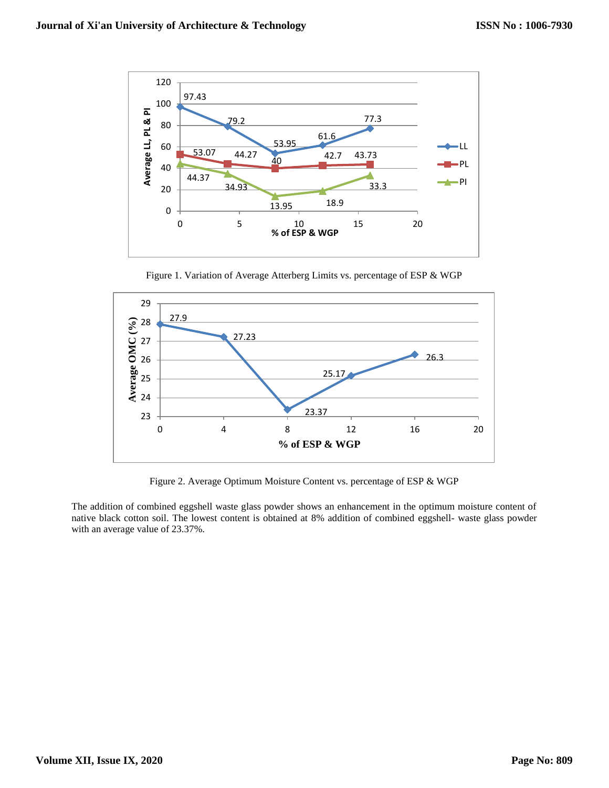

Figure 1. Variation of Average Atterberg Limits vs. percentage of ESP & WGP



Figure 2. Average Optimum Moisture Content vs. percentage of ESP & WGP

The addition of combined eggshell waste glass powder shows an enhancement in the optimum moisture content of native black cotton soil. The lowest content is obtained at 8% addition of combined eggshell- waste glass powder with an average value of 23.37%.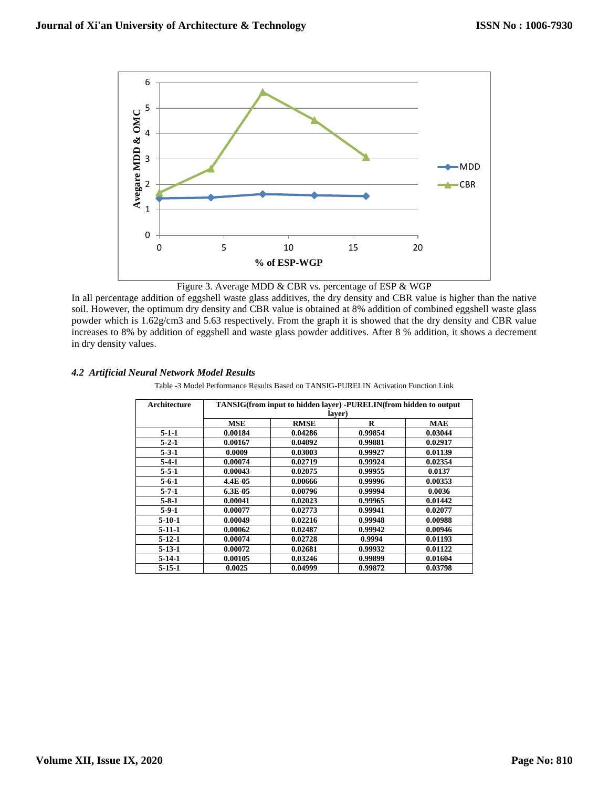

Figure 3. Average MDD & CBR vs. percentage of ESP & WGP

In all percentage addition of eggshell waste glass additives, the dry density and CBR value is higher than the native soil. However, the optimum dry density and CBR value is obtained at 8% addition of combined eggshell waste glass powder which is 1.62g/cm3 and 5.63 respectively. From the graph it is showed that the dry density and CBR value increases to 8% by addition of eggshell and waste glass powder additives. After 8 % addition, it shows a decrement in dry density values.

#### *4.2 Artificial Neural Network Model Results*

Table -3 Model Performance Results Based on TANSIG-PURELIN Activation Function Link

| Architecture | TANSIG(from input to hidden layer) -PURELIN(from hidden to output |             |         |            |  |
|--------------|-------------------------------------------------------------------|-------------|---------|------------|--|
|              | laver)                                                            |             |         |            |  |
|              | <b>MSE</b>                                                        | <b>RMSE</b> | R       | <b>MAE</b> |  |
| $5 - 1 - 1$  | 0.00184                                                           | 0.04286     | 0.99854 | 0.03044    |  |
| $5 - 2 - 1$  | 0.00167                                                           | 0.04092     | 0.99881 | 0.02917    |  |
| $5 - 3 - 1$  | 0.0009                                                            | 0.03003     | 0.99927 | 0.01139    |  |
| $5-4-1$      | 0.00074                                                           | 0.02719     | 0.99924 | 0.02354    |  |
| $5 - 5 - 1$  | 0.00043                                                           | 0.02075     | 0.99955 | 0.0137     |  |
| $5 - 6 - 1$  | 4.4E-05                                                           | 0.00666     | 0.99996 | 0.00353    |  |
| $5 - 7 - 1$  | 6.3E-05                                                           | 0.00796     | 0.99994 | 0.0036     |  |
| $5 - 8 - 1$  | 0.00041                                                           | 0.02023     | 0.99965 | 0.01442    |  |
| $5-9-1$      | 0.00077                                                           | 0.02773     | 0.99941 | 0.02077    |  |
| $5-10-1$     | 0.00049                                                           | 0.02216     | 0.99948 | 0.00988    |  |
| $5 - 11 - 1$ | 0.00062                                                           | 0.02487     | 0.99942 | 0.00946    |  |
| $5 - 12 - 1$ | 0.00074                                                           | 0.02728     | 0.9994  | 0.01193    |  |
| $5-13-1$     | 0.00072                                                           | 0.02681     | 0.99932 | 0.01122    |  |
| $5-14-1$     | 0.00105                                                           | 0.03246     | 0.99899 | 0.01604    |  |
| $5 - 15 - 1$ | 0.0025                                                            | 0.04999     | 0.99872 | 0.03798    |  |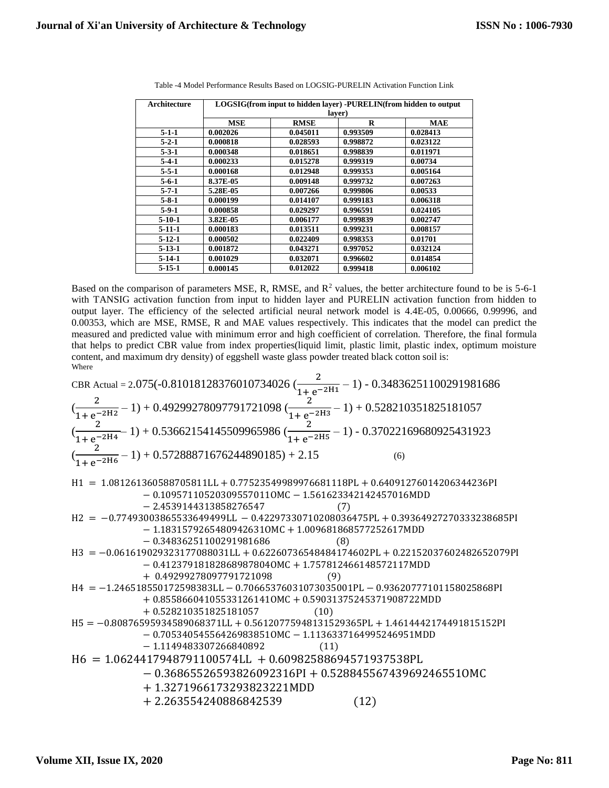| Architecture | LOGSIG(from input to hidden layer) -PURELIN(from hidden to output |             |          |            |  |
|--------------|-------------------------------------------------------------------|-------------|----------|------------|--|
|              | laver)                                                            |             |          |            |  |
|              | <b>MSE</b>                                                        | <b>RMSE</b> | R        | <b>MAE</b> |  |
| $5 - 1 - 1$  | 0.002026                                                          | 0.045011    | 0.993509 | 0.028413   |  |
| $5 - 2 - 1$  | 0.000818                                                          | 0.028593    | 0.998872 | 0.023122   |  |
| $5 - 3 - 1$  | 0.000348                                                          | 0.018651    | 0.998839 | 0.011971   |  |
| $5-4-1$      | 0.000233                                                          | 0.015278    | 0.999319 | 0.00734    |  |
| $5 - 5 - 1$  | 0.000168                                                          | 0.012948    | 0.999353 | 0.005164   |  |
| $5 - 6 - 1$  | 8.37E-05                                                          | 0.009148    | 0.999732 | 0.007263   |  |
| $5 - 7 - 1$  | 5.28E-05                                                          | 0.007266    | 0.999806 | 0.00533    |  |
| $5 - 8 - 1$  | 0.000199                                                          | 0.014107    | 0.999183 | 0.006318   |  |
| 5-9-1        | 0.000858                                                          | 0.029297    | 0.996591 | 0.024105   |  |
| $5-10-1$     | 3.82E-05                                                          | 0.006177    | 0.999839 | 0.002747   |  |
| $5-11-1$     | 0.000183                                                          | 0.013511    | 0.999231 | 0.008157   |  |
| $5-12-1$     | 0.000502                                                          | 0.022409    | 0.998353 | 0.01701    |  |
| $5 - 13 - 1$ | 0.001872                                                          | 0.043271    | 0.997052 | 0.032124   |  |
| $5-14-1$     | 0.001029                                                          | 0.032071    | 0.996602 | 0.014854   |  |
| $5 - 15 - 1$ | 0.000145                                                          | 0.012022    | 0.999418 | 0.006102   |  |

Table -4 Model Performance Results Based on LOGSIG-PURELIN Activation Function Link

Based on the comparison of parameters MSE, R, RMSE, and  $R^2$  values, the better architecture found to be is 5-6-1 with TANSIG activation function from input to hidden layer and PURELIN activation function from hidden to output layer. The efficiency of the selected artificial neural network model is 4.4E-05, 0.00666, 0.99996, and 0.00353, which are MSE, RMSE, R and MAE values respectively. This indicates that the model can predict the measured and predicted value with minimum error and high coefficient of correlation. Therefore, the final formula that helps to predict CBR value from index properties(liquid limit, plastic limit, plastic index, optimum moisture content, and maximum dry density) of eggshell waste glass powder treated black cotton soil is: Where

| CBR Actual = 2.075(-0.81018128376010734026 ( $\frac{2}{1+e^{-2H1}} - 1$ ) - 0.34836251100291981686                                                                  |
|---------------------------------------------------------------------------------------------------------------------------------------------------------------------|
| $(\frac{2}{1+e^{-2H2}} - 1)$ + 0.49299278097791721098 ( $\frac{2}{1+e^{-2H3}} - 1$ ) + 0.528210351825181057                                                         |
| $(\frac{2}{1+e^{-2H4}} - 1)$ + 0.53662154145509965986 ( $\frac{2}{1+e^{-2H5}} - 1$ ) - 0.37022169680925431923                                                       |
| $(\frac{2}{1+e^{-2H6}} - 1)$ + 0.57288871676244890185) + 2.15                                                                                                       |
| H1 = 1.081261360588705811LL + 0.77523549989976681118PL + 0.64091276014206344236PI<br>-0.109571105203095570110MC - 1.561623342142457016MDD<br>-2.4539144313858276547 |
| H2 = -0.7749303865533649499LL - 0.42297330710208036475PL + 0.39364927270333238685PI<br>-0.34836251100291981686                                                      |
| H3 = -0.061619029323177088031LL + 0.62260736548484174602PL + 0.22152037602482652079PI<br>-0.41237991818266898780449016                                              |
|                                                                                                                                                                     |